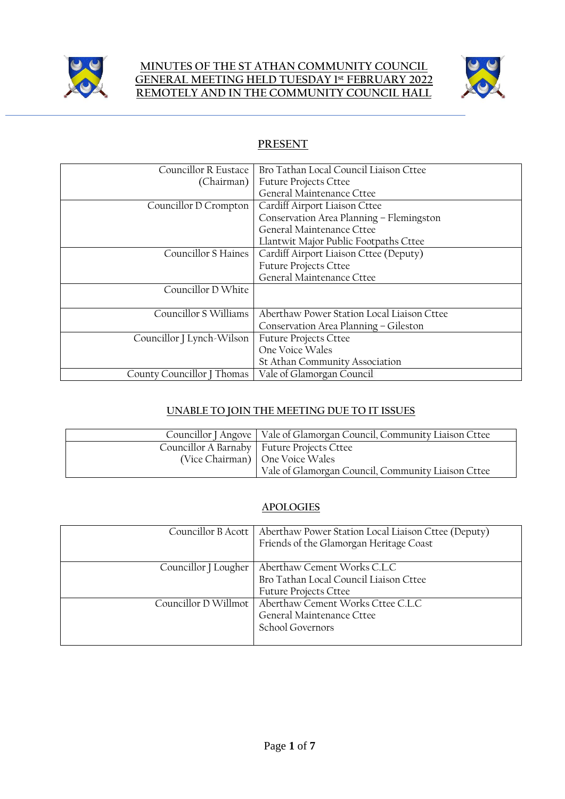

#### **MINUTES OF THE ST ATHAN COMMUNITY COUNCIL GENERAL MEETING HELD TUESDAY 1 st FEBRUARY 2022 REMOTELY AND IN THE COMMUNITY COUNCIL HALL**



# **PRESENT**

| Councillor R Eustace       | Bro Tathan Local Council Liaison Cttee     |  |
|----------------------------|--------------------------------------------|--|
| (Chairman)                 | <b>Future Projects Cttee</b>               |  |
|                            | General Maintenance Cttee                  |  |
| Councillor D Crompton      | Cardiff Airport Liaison Cttee              |  |
|                            | Conservation Area Planning - Flemingston   |  |
|                            | General Maintenance Cttee                  |  |
|                            | Llantwit Major Public Footpaths Cttee      |  |
| <b>Councillor S Haines</b> | Cardiff Airport Liaison Cttee (Deputy)     |  |
|                            | <b>Future Projects Cttee</b>               |  |
|                            | General Maintenance Cttee                  |  |
| Councillor D White         |                                            |  |
|                            |                                            |  |
| Councillor S Williams      | Aberthaw Power Station Local Liaison Cttee |  |
|                            | Conservation Area Planning – Gileston      |  |
| Councillor J Lynch-Wilson  | <b>Future Projects Cttee</b>               |  |
|                            | One Voice Wales                            |  |
|                            | St Athan Community Association             |  |
| County Councillor J Thomas | Vale of Glamorgan Council                  |  |

## **UNABLE TO JOIN THE MEETING DUE TO IT ISSUES**

| Councillor J Angove   Vale of Glamorgan Council, Community Liaison Cttee |                                                    |
|--------------------------------------------------------------------------|----------------------------------------------------|
|                                                                          | Councillor A Barnaby   Future Projects Cttee       |
|                                                                          | (Vice Chairman) One Voice Wales                    |
|                                                                          | Vale of Glamorgan Council, Community Liaison Cttee |

#### **APOLOGIES**

|                      | Councillor B Acott   Aberthaw Power Station Local Liaison Cttee (Deputy)<br>Friends of the Glamorgan Heritage Coast |
|----------------------|---------------------------------------------------------------------------------------------------------------------|
| Councillor J Lougher | Aberthaw Cement Works C.L.C<br>Bro Tathan Local Council Liaison Cttee<br><b>Future Projects Cttee</b>               |
|                      | Councillor D Willmot   Aberthaw Cement Works Cttee C.L.C<br>General Maintenance Cttee<br>School Governors           |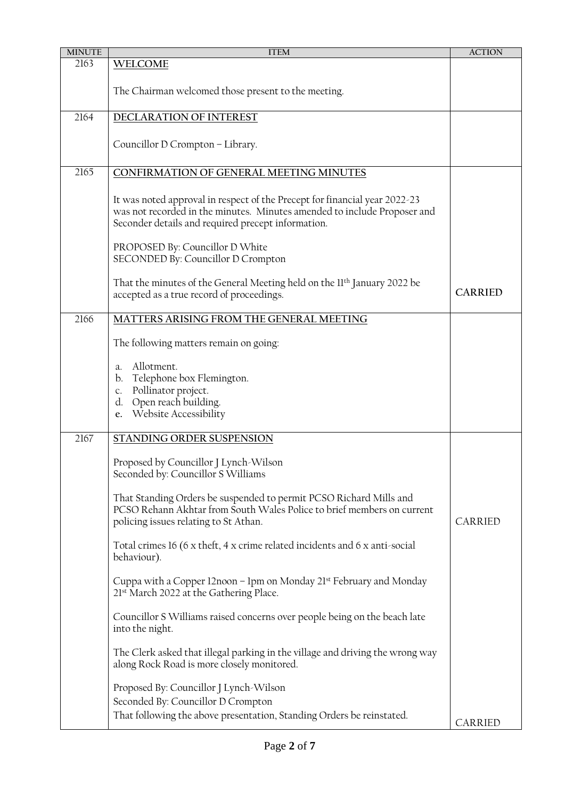| <b>MINUTE</b> | <b>ITEM</b>                                                                                                                                                                                                  | <b>ACTION</b>  |
|---------------|--------------------------------------------------------------------------------------------------------------------------------------------------------------------------------------------------------------|----------------|
| 2163          | WELCOME                                                                                                                                                                                                      |                |
|               | The Chairman welcomed those present to the meeting.                                                                                                                                                          |                |
| 2164          | DECLARATION OF INTEREST                                                                                                                                                                                      |                |
|               | Councillor D Crompton - Library.                                                                                                                                                                             |                |
| 2165          | CONFIRMATION OF GENERAL MEETING MINUTES                                                                                                                                                                      |                |
|               | It was noted approval in respect of the Precept for financial year 2022-23<br>was not recorded in the minutes. Minutes amended to include Proposer and<br>Seconder details and required precept information. |                |
|               | PROPOSED By: Councillor D White<br>SECONDED By: Councillor D Crompton                                                                                                                                        |                |
|               | That the minutes of the General Meeting held on the II <sup>th</sup> January 2022 be<br>accepted as a true record of proceedings.                                                                            | <b>CARRIED</b> |
| 2166          | MATTERS ARISING FROM THE GENERAL MEETING                                                                                                                                                                     |                |
|               | The following matters remain on going:                                                                                                                                                                       |                |
|               | Allotment.<br>a.<br>b. Telephone box Flemington.<br>Pollinator project.<br>C.<br>Open reach building.<br>d.<br>Website Accessibility<br>e.                                                                   |                |
| 2167          | STANDING ORDER SUSPENSION                                                                                                                                                                                    |                |
|               | Proposed by Councillor J Lynch-Wilson<br>Seconded by: Councillor S Williams                                                                                                                                  |                |
|               | That Standing Orders be suspended to permit PCSO Richard Mills and<br>PCSO Rehann Akhtar from South Wales Police to brief members on current<br>policing issues relating to St Athan.                        | CARRIED        |
|               | Total crimes 16 (6 x theft, 4 x crime related incidents and 6 x anti-social<br>behaviour).                                                                                                                   |                |
|               | Cuppa with a Copper 12noon – 1pm on Monday 21 <sup>st</sup> February and Monday<br>21st March 2022 at the Gathering Place.                                                                                   |                |
|               | Councillor S Williams raised concerns over people being on the beach late<br>into the night.                                                                                                                 |                |
|               | The Clerk asked that illegal parking in the village and driving the wrong way<br>along Rock Road is more closely monitored.                                                                                  |                |
|               | Proposed By: Councillor J Lynch-Wilson                                                                                                                                                                       |                |
|               | Seconded By: Councillor D Crompton<br>That following the above presentation, Standing Orders be reinstated.                                                                                                  |                |
|               |                                                                                                                                                                                                              | CARRIED        |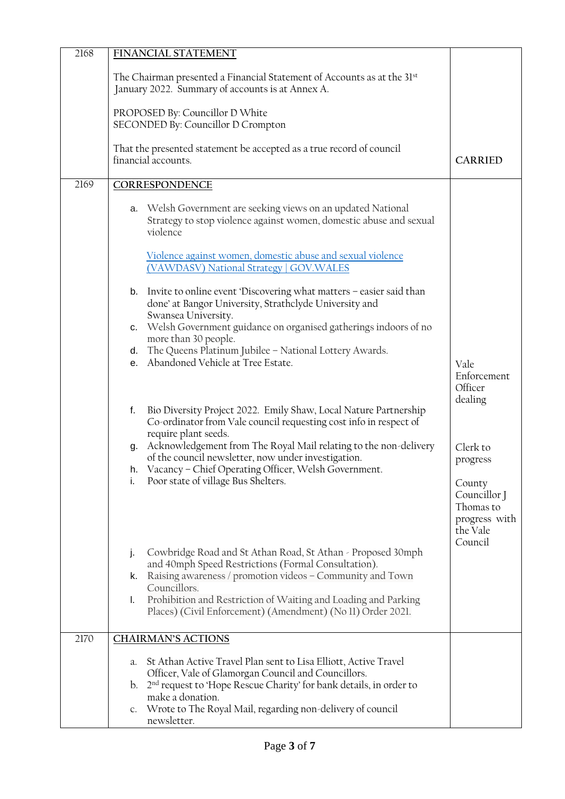| 2168 | FINANCIAL STATEMENT                                                                                                                                                                                          |                                                                   |  |
|------|--------------------------------------------------------------------------------------------------------------------------------------------------------------------------------------------------------------|-------------------------------------------------------------------|--|
|      | The Chairman presented a Financial Statement of Accounts as at the 31st<br>January 2022. Summary of accounts is at Annex A.                                                                                  |                                                                   |  |
|      | PROPOSED By: Councillor D White<br>SECONDED By: Councillor D Crompton                                                                                                                                        |                                                                   |  |
|      | That the presented statement be accepted as a true record of council<br>financial accounts.                                                                                                                  | <b>CARRIED</b>                                                    |  |
| 2169 | CORRESPONDENCE                                                                                                                                                                                               |                                                                   |  |
|      | a. Welsh Government are seeking views on an updated National<br>Strategy to stop violence against women, domestic abuse and sexual<br>violence<br>Violence against women, domestic abuse and sexual violence |                                                                   |  |
|      | (VAWDASV) National Strategy   GOV.WALES                                                                                                                                                                      |                                                                   |  |
|      | b. Invite to online event 'Discovering what matters - easier said than<br>done' at Bangor University, Strathclyde University and<br>Swansea University.                                                      |                                                                   |  |
|      | c. Welsh Government guidance on organised gatherings indoors of no<br>more than 30 people.                                                                                                                   |                                                                   |  |
|      | d. The Queens Platinum Jubilee - National Lottery Awards.                                                                                                                                                    |                                                                   |  |
|      | e. Abandoned Vehicle at Tree Estate.                                                                                                                                                                         | Vale<br>Enforcement<br>Officer<br>dealing                         |  |
|      | Bio Diversity Project 2022. Emily Shaw, Local Nature Partnership<br>f.<br>Co-ordinator from Vale council requesting cost info in respect of<br>require plant seeds.                                          |                                                                   |  |
|      | Acknowledgement from The Royal Mail relating to the non-delivery<br>g.<br>of the council newsletter, now under investigation.<br>h. Vacancy - Chief Operating Officer, Welsh Government.                     | Clerk to<br>progress                                              |  |
|      | i. Poor state of village Bus Shelters.                                                                                                                                                                       | County                                                            |  |
|      |                                                                                                                                                                                                              | Councillor J<br>Thomas to<br>progress with<br>the Vale<br>Council |  |
|      | Cowbridge Road and St Athan Road, St Athan - Proposed 30mph<br>j.<br>and 40mph Speed Restrictions (Formal Consultation).                                                                                     |                                                                   |  |
|      | Raising awareness / promotion videos - Community and Town<br>k.<br>Councillors.                                                                                                                              |                                                                   |  |
|      | Prohibition and Restriction of Waiting and Loading and Parking<br>I.<br>Places) (Civil Enforcement) (Amendment) (No 11) Order 2021.                                                                          |                                                                   |  |
| 2170 | <b>CHAIRMAN'S ACTIONS</b>                                                                                                                                                                                    |                                                                   |  |
|      | St Athan Active Travel Plan sent to Lisa Elliott, Active Travel<br>a.                                                                                                                                        |                                                                   |  |
|      | Officer, Vale of Glamorgan Council and Councillors.<br>b. 2 <sup>nd</sup> request to 'Hope Rescue Charity' for bank details, in order to                                                                     |                                                                   |  |
|      | make a donation.<br>Wrote to The Royal Mail, regarding non-delivery of council<br>$c_{\cdot}$<br>newsletter.                                                                                                 |                                                                   |  |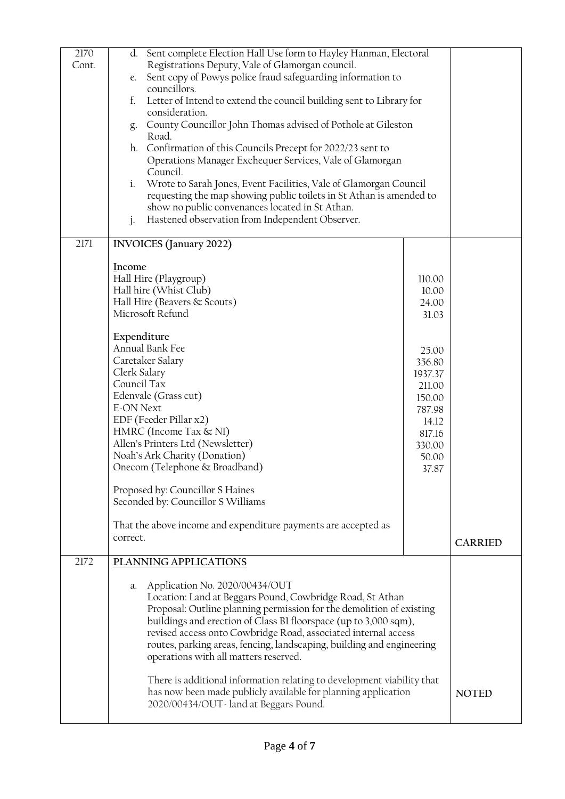| 2170<br>Cont. | Sent complete Election Hall Use form to Hayley Hanman, Electoral<br>d.<br>Registrations Deputy, Vale of Glamorgan council.<br>Sent copy of Powys police fraud safeguarding information to<br>e.<br>councillors.<br>Letter of Intend to extend the council building sent to Library for<br>f.<br>consideration.<br>County Councillor John Thomas advised of Pothole at Gileston<br>g.<br>Road.<br>h. Confirmation of this Councils Precept for 2022/23 sent to<br>Operations Manager Exchequer Services, Vale of Glamorgan<br>Council.<br>Wrote to Sarah Jones, Event Facilities, Vale of Glamorgan Council<br>i.<br>requesting the map showing public toilets in St Athan is amended to<br>show no public convenances located in St Athan. |                                                                                                                                              |                |
|---------------|--------------------------------------------------------------------------------------------------------------------------------------------------------------------------------------------------------------------------------------------------------------------------------------------------------------------------------------------------------------------------------------------------------------------------------------------------------------------------------------------------------------------------------------------------------------------------------------------------------------------------------------------------------------------------------------------------------------------------------------------|----------------------------------------------------------------------------------------------------------------------------------------------|----------------|
| 2171          | Hastened observation from Independent Observer.<br>j.<br><b>INVOICES</b> (January 2022)                                                                                                                                                                                                                                                                                                                                                                                                                                                                                                                                                                                                                                                    |                                                                                                                                              |                |
|               | Income<br>Hall Hire (Playgroup)<br>Hall hire (Whist Club)<br>Hall Hire (Beavers & Scouts)<br>Microsoft Refund<br>Expenditure<br>Annual Bank Fee<br>Caretaker Salary<br>Clerk Salary<br>Council Tax<br>Edenvale (Grass cut)<br><b>E-ON Next</b><br>EDF (Feeder Pillar x2)<br>HMRC (Income Tax & NI)<br>Allen's Printers Ltd (Newsletter)<br>Noah's Ark Charity (Donation)<br>Onecom (Telephone & Broadband)<br>Proposed by: Councillor S Haines<br>Seconded by: Councillor S Williams<br>That the above income and expenditure payments are accepted as<br>correct.                                                                                                                                                                         | 110.00<br>10.00<br>24.00<br>31.03<br>25.00<br>356.80<br>1937.37<br>211.00<br>150.00<br>787.98<br>14.12<br>817.16<br>330.00<br>50.00<br>37.87 | <b>CARRIED</b> |
| 2172          | PLANNING APPLICATIONS<br>Application No. 2020/00434/OUT<br>a.<br>Location: Land at Beggars Pound, Cowbridge Road, St Athan<br>Proposal: Outline planning permission for the demolition of existing<br>buildings and erection of Class BI floorspace (up to 3,000 sqm),<br>revised access onto Cowbridge Road, associated internal access<br>routes, parking areas, fencing, landscaping, building and engineering<br>operations with all matters reserved.<br>There is additional information relating to development viability that<br>has now been made publicly available for planning application<br>2020/00434/OUT - land at Beggars Pound.                                                                                           |                                                                                                                                              | <b>NOTED</b>   |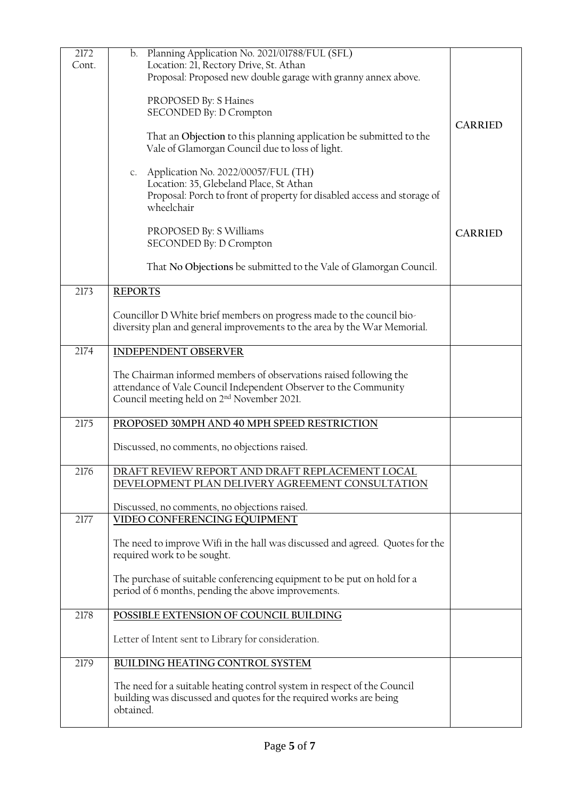| 2172<br>Cont. | b. Planning Application No. 2021/01788/FUL (SFL)<br>Location: 21, Rectory Drive, St. Athan                                                                  |                |
|---------------|-------------------------------------------------------------------------------------------------------------------------------------------------------------|----------------|
|               | Proposal: Proposed new double garage with granny annex above.                                                                                               |                |
|               | PROPOSED By: S Haines<br>SECONDED By: D Crompton                                                                                                            |                |
|               | That an Objection to this planning application be submitted to the                                                                                          | <b>CARRIED</b> |
|               | Vale of Glamorgan Council due to loss of light.                                                                                                             |                |
|               | c. Application No. 2022/00057/FUL (TH)<br>Location: 35, Glebeland Place, St Athan                                                                           |                |
|               | Proposal: Porch to front of property for disabled access and storage of<br>wheelchair                                                                       |                |
|               | PROPOSED By: S Williams<br>SECONDED By: D Crompton                                                                                                          | <b>CARRIED</b> |
|               | That No Objections be submitted to the Vale of Glamorgan Council.                                                                                           |                |
|               |                                                                                                                                                             |                |
| 2173          | <b>REPORTS</b>                                                                                                                                              |                |
|               | Councillor D White brief members on progress made to the council bio-<br>diversity plan and general improvements to the area by the War Memorial.           |                |
| 2174          | <b>INDEPENDENT OBSERVER</b>                                                                                                                                 |                |
|               | The Chairman informed members of observations raised following the                                                                                          |                |
|               | attendance of Vale Council Independent Observer to the Community<br>Council meeting held on 2 <sup>nd</sup> November 2021.                                  |                |
| 2175          | PROPOSED 30MPH AND 40 MPH SPEED RESTRICTION                                                                                                                 |                |
|               | Discussed, no comments, no objections raised.                                                                                                               |                |
| 2176          | DRAFT REVIEW REPORT AND DRAFT REPLACEMENT LOCAL<br>DEVELOPMENT PLAN DELIVERY AGREEMENT CONSULTATION                                                         |                |
|               | Discussed, no comments, no objections raised.                                                                                                               |                |
| 2177          | VIDEO CONFERENCING EQUIPMENT                                                                                                                                |                |
|               | The need to improve Wifi in the hall was discussed and agreed. Quotes for the<br>required work to be sought.                                                |                |
|               | The purchase of suitable conferencing equipment to be put on hold for a<br>period of 6 months, pending the above improvements.                              |                |
| 2178          | POSSIBLE EXTENSION OF COUNCIL BUILDING                                                                                                                      |                |
|               | Letter of Intent sent to Library for consideration.                                                                                                         |                |
| 2179          | <b>BUILDING HEATING CONTROL SYSTEM</b>                                                                                                                      |                |
|               | The need for a suitable heating control system in respect of the Council<br>building was discussed and quotes for the required works are being<br>obtained. |                |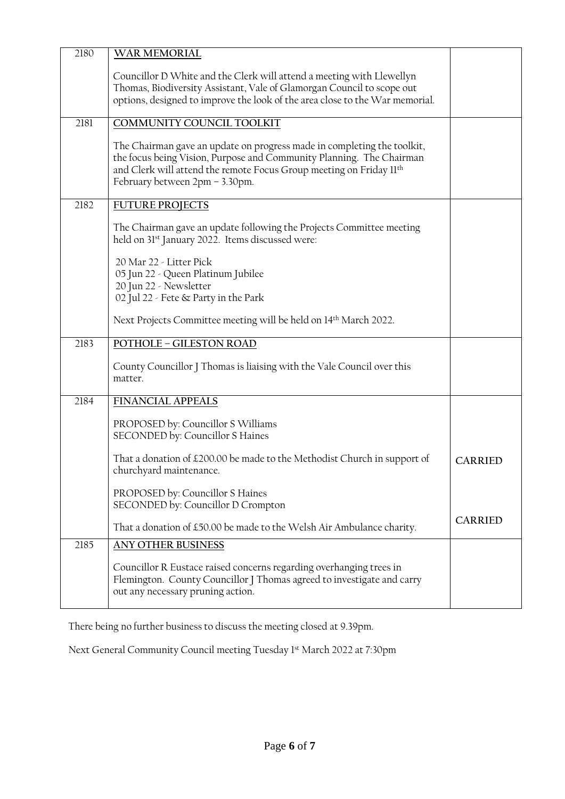| 2180 | WAR MEMORIAL                                                                                                                                                                                                                                             |                |
|------|----------------------------------------------------------------------------------------------------------------------------------------------------------------------------------------------------------------------------------------------------------|----------------|
|      | Councillor D White and the Clerk will attend a meeting with Llewellyn<br>Thomas, Biodiversity Assistant, Vale of Glamorgan Council to scope out<br>options, designed to improve the look of the area close to the War memorial.                          |                |
| 2181 | COMMUNITY COUNCIL TOOLKIT                                                                                                                                                                                                                                |                |
|      | The Chairman gave an update on progress made in completing the toolkit,<br>the focus being Vision, Purpose and Community Planning. The Chairman<br>and Clerk will attend the remote Focus Group meeting on Friday 11th<br>February between 2pm - 3.30pm. |                |
| 2182 | <b>FUTURE PROJECTS</b>                                                                                                                                                                                                                                   |                |
|      | The Chairman gave an update following the Projects Committee meeting<br>held on 31 <sup>st</sup> January 2022. Items discussed were:                                                                                                                     |                |
|      | 20 Mar 22 - Litter Pick<br>05 Jun 22 - Queen Platinum Jubilee<br>20 Jun 22 - Newsletter<br>02 Jul 22 - Fete & Party in the Park                                                                                                                          |                |
|      | Next Projects Committee meeting will be held on 14 <sup>th</sup> March 2022.                                                                                                                                                                             |                |
|      |                                                                                                                                                                                                                                                          |                |
| 2183 | <b>POTHOLE - GILESTON ROAD</b><br>County Councillor J Thomas is liaising with the Vale Council over this<br>matter.                                                                                                                                      |                |
| 2184 | <b>FINANCIAL APPEALS</b>                                                                                                                                                                                                                                 |                |
|      | PROPOSED by: Councillor S Williams<br>SECONDED by: Councillor S Haines                                                                                                                                                                                   |                |
|      | That a donation of £200.00 be made to the Methodist Church in support of<br>churchyard maintenance.                                                                                                                                                      | <b>CARRIED</b> |
|      | PROPOSED by: Councillor S Haines<br>SECONDED by: Councillor D Crompton                                                                                                                                                                                   |                |
|      | That a donation of £50.00 be made to the Welsh Air Ambulance charity.                                                                                                                                                                                    | <b>CARRIED</b> |
| 2185 | ANY OTHER BUSINESS                                                                                                                                                                                                                                       |                |
|      | Councillor R Eustace raised concerns regarding overhanging trees in<br>Flemington. County Councillor J Thomas agreed to investigate and carry<br>out any necessary pruning action.                                                                       |                |

There being no further business to discuss the meeting closed at 9.39pm.

Next General Community Council meeting Tuesday 1<sup>st</sup> March 2022 at 7:30pm